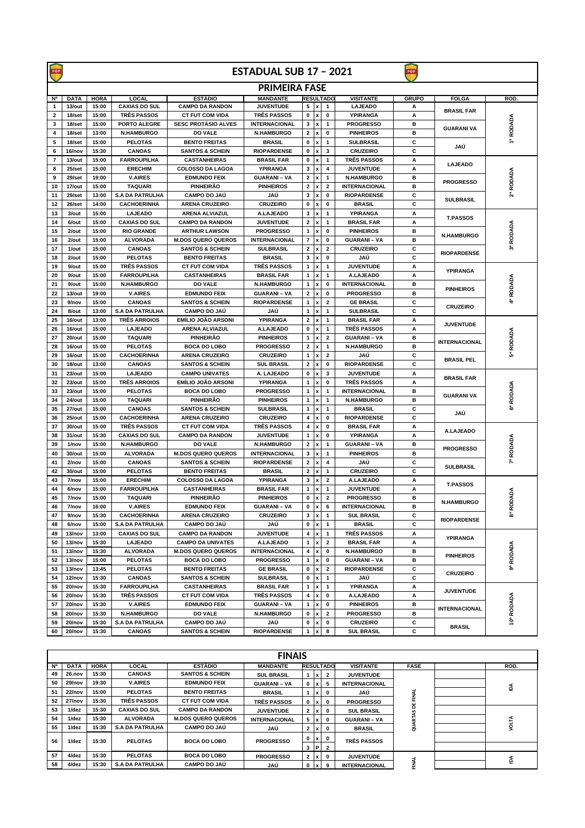| FGF            | <b>ESTADUAL SUB 17 - 2021</b><br>FGF |                |                                      |                                               |                                     |                         |                           |                         |                         |              |                                           |                       |
|----------------|--------------------------------------|----------------|--------------------------------------|-----------------------------------------------|-------------------------------------|-------------------------|---------------------------|-------------------------|-------------------------|--------------|-------------------------------------------|-----------------------|
|                | <b>PRIMEIRA FASE</b>                 |                |                                      |                                               |                                     |                         |                           |                         |                         |              |                                           |                       |
| Ν°             | <b>DATA</b>                          | <b>HORA</b>    | <b>LOCAL</b>                         | <b>ESTÁDIO</b>                                | <b>MANDANTE</b>                     |                         |                           | <b>RESULTADO</b>        | <b>VISITANTE</b>        | <b>GRUPO</b> | <b>FOLGA</b>                              | ROD.                  |
| $\mathbf{1}$   | 13/out                               | 15:00          | <b>CAXIAS DO SUL</b>                 | <b>CAMPO DA RANDON</b>                        | <b>JUVENTUDE</b>                    | 5                       | $\vert x \vert$           | 1                       | <b>LAJEADO</b>          | Α            | <b>BRASIL FAR</b>                         |                       |
| $\overline{2}$ | 18/set                               | 15:00          | <b>TRÊS PASSOS</b>                   | <b>CT FUT COM VIDA</b>                        | <b>TRÊS PASSOS</b>                  | 0                       | x                         | $\mathbf 0$             | YPIRANGA                | A            |                                           |                       |
| 3              | 18/set                               | 15:00          | PORTO ALEGRE                         | <b>SESC PROTÁSIO ALVES</b>                    | <b>INTERNACIONAL</b>                | 3                       | x                         | 1                       | <b>PROGRESSO</b>        | в            | <b>GUARANI VA</b>                         | 1ª RODADA             |
| 4              | 18/set                               | 13:00          | <b>N.HAMBURGO</b>                    | <b>DO VALE</b>                                | <b>N.HAMBURGO</b>                   | $\mathbf{2}$            | x                         | $\mathbf 0$             | <b>PINHEIROS</b>        | в            |                                           |                       |
| 5              | 18/set                               | 15:00          | <b>PELOTAS</b>                       | <b>BENTO FREITAS</b>                          | <b>BRASIL</b>                       | 0                       | x                         | 1                       | <b>SULBRASIL</b>        | c            | JAÚ                                       |                       |
| 6              | 16/nov                               | 15:30          | <b>CANOAS</b>                        | <b>SANTOS &amp; SCHEIN</b>                    | <b>RIOPARDENSE</b>                  | 0                       | x                         | 3                       | <b>CRUZEIRO</b>         | c            |                                           |                       |
| $\overline{7}$ | 13/out                               | 15:00          | <b>FARROUPILHA</b>                   | <b>CASTANHEIRAS</b>                           | <b>BRASIL FAR</b>                   | 0                       | x                         | 1                       | <b>TRÊS PASSOS</b>      | Α            | <b>LAJEADO</b>                            |                       |
| 8              | 25/set                               | 15:00          | <b>ERECHIM</b>                       | <b>COLOSSO DA LAGOA</b>                       | YPIRANGA                            | 3                       | x                         | 4                       | <b>JUVENTUDE</b>        | Α            | <b>PROGRESSO</b>                          | 2 <sup>ª</sup> RODADA |
| 9              | 29/set                               | 19:00          | <b>V.AIRES</b>                       | <b>EDMUNDO FEIX</b>                           | <b>GUARANI - VA</b>                 | $\mathbf{2}$            | x                         | 1                       | <b>N.HAMBURGO</b>       | в            |                                           |                       |
| 10             | 17/out                               | 15:00          | <b>TAQUARI</b>                       | PINHEIRÃO                                     | <b>PINHEIROS</b>                    | 2                       | x                         | 2                       | <b>INTERNACIONAL</b>    | в            |                                           |                       |
| 11             | 29/set                               | 13:00          | <b>S.A DA PATRULHA</b>               | <b>CAMPO DO JAÚ</b>                           | JAÚ                                 | 3                       | x                         | 0                       | <b>RIOPARDENSE</b>      | c            | <b>SULBRASIL</b>                          |                       |
| 12             | 26/set                               | 14:00          | <b>CACHOERINHA</b>                   | <b>ARENA CRUZEIRO</b>                         | <b>CRUZEIRO</b>                     | 0                       | $\boldsymbol{\mathsf{x}}$ | 0                       | <b>BRASIL</b>           | c            |                                           |                       |
| 13             | 3/out                                | 15:00          | <b>LAJEADO</b>                       | <b>ARENA ALVIAZUL</b>                         | A.LAJEADO                           | 3                       | $\pmb{\mathsf{x}}$        | $\mathbf 1$             | YPIRANGA                | Α            | <b>T.PASSOS</b>                           |                       |
| 14             | 6/out                                | 15:00          | <b>CAXIAS DO SUL</b>                 | <b>CAMPO DA RANDON</b>                        | <b>JUVENTUDE</b>                    | 2                       | ×                         | 1                       | <b>BRASIL FAR</b>       | Α            |                                           |                       |
| 15             | 2/out                                | 15:00          | <b>RIO GRANDE</b>                    | <b>ARTHUR LAWSON</b>                          | <b>PROGRESSO</b>                    | 1                       | ×                         | 0                       | <b>PINHEIROS</b>        | в<br>в       | <b>N.HAMBURGO</b>                         |                       |
| 16             | 2/out                                | 15:00          | <b>ALVORADA</b>                      | <b>M.DOS QUERO QUEROS</b>                     | <b>INTERNACIONAL</b>                | 7                       | x                         | 0                       | <b>GUARANI - VA</b>     |              |                                           | 3ª RODADA             |
| 17             | 1/out                                | 15:00          | <b>CANOAS</b>                        | <b>SANTOS &amp; SCHEIN</b>                    | <b>SULBRASIL</b>                    | $\mathbf{z}$            | $\pmb{\mathsf{x}}$        | $\overline{\mathbf{2}}$ | <b>CRUZEIRO</b>         | c            | <b>RIOPARDENSE</b>                        |                       |
| 18<br>19       | 2/out                                | 15:00          | <b>PELOTAS</b><br><b>TRÊS PASSOS</b> | <b>BENTO FREITAS</b>                          | <b>BRASIL</b><br><b>TRÊS PASSOS</b> | 3                       | $\pmb{\times}$<br>x       | 0<br>$\mathbf{1}$       | JAÚ<br><b>JUVENTUDE</b> | c            |                                           |                       |
| 20             | 9/out<br>9/out                       | 15:00<br>15:00 | <b>FARROUPILHA</b>                   | <b>CT FUT COM VIDA</b><br><b>CASTANHEIRAS</b> | <b>BRASIL FAR</b>                   | 1<br>$\mathbf{1}$       |                           | 1                       | A.LAJEADO               | Α<br>Α       | <b>YPIRANGA</b>                           |                       |
| 21             | 9/out                                | 15:00          | <b>N.HAMBURGO</b>                    | <b>DO VALE</b>                                | <b>N.HAMBURGO</b>                   | $\mathbf{1}$            | x<br>x                    | 0                       | <b>INTERNACIONAL</b>    | в            |                                           |                       |
| 22             | 13/out                               | 19:00          | <b>V.AIRES</b>                       | <b>EDMUNDO FEIX</b>                           | <b>GUARANI - VA</b>                 | 2                       | x                         | 0                       | <b>PROGRESSO</b>        | в            | <b>PINHEIROS</b>                          |                       |
| 23             | 9/nov                                | 15:00          | <b>CANOAS</b>                        | <b>SANTOS &amp; SCHEIN</b>                    | <b>RIOPARDENSE</b>                  | 1                       | x                         | $\overline{\mathbf{2}}$ | <b>GE BRASIL</b>        | c            |                                           | 4ª RODADA             |
| 24             | 8/out                                | 13:00          | <b>S.A DA PATRULHA</b>               | <b>CAMPO DO JAÚ</b>                           | JAÚ                                 | 1                       | x                         | 1                       | <b>SULBRASIL</b>        | c            | <b>CRUZEIRO</b>                           |                       |
| 25             | 16/out                               | 13:00          | <b>TRÊS ARROIOS</b>                  | <b>EMÍLIO JOÃO ARSONI</b>                     | <b>YPIRANGA</b>                     | $\overline{\mathbf{2}}$ | $\pmb{\mathsf{x}}$        | 1                       | <b>BRASIL FAR</b>       | Α            |                                           |                       |
| 26             | 16/out                               | 15:00          | <b>LAJEADO</b>                       | <b>ARENA ALVIAZUL</b>                         | A.LAJEADO                           | 0                       | $\pmb{\mathsf{x}}$        | 1                       | <b>TRÊS PASSOS</b>      | Α            | <b>JUVENTUDE</b>                          | 5ª RODADA             |
| 27             | 20/out                               | 15:00          | <b>TAQUARI</b>                       | PINHEIRÃO                                     | <b>PINHEIROS</b>                    | $\mathbf{1}$            | x                         | $\overline{2}$          | <b>GUARANI - VA</b>     | в            | <b>INTERNACIONAL</b><br><b>BRASIL PEL</b> |                       |
| 28             | 16/out                               | 15:00          | <b>PELOTAS</b>                       | <b>BOCA DO LOBO</b>                           | <b>PROGRESSO</b>                    | 2                       | x                         | 1                       | <b>N.HAMBURGO</b>       | в            |                                           |                       |
| 29             | 16/out                               | 15:00          | <b>CACHOERINHA</b>                   | <b>ARENA CRUZEIRO</b>                         | <b>CRUZEIRO</b>                     | $\mathbf{1}$            | x                         | $\overline{\mathbf{2}}$ | JAÚ                     | c            |                                           |                       |
| 30             | 18/out                               | 13:00          | <b>CANOAS</b>                        | <b>SANTOS &amp; SCHEIN</b>                    | <b>SUL BRASIL</b>                   | 2                       | ×                         | 0                       | <b>RIOPARDENSE</b>      | c            |                                           |                       |
| 31             | 23/out                               | 15:00          | <b>LAJEADO</b>                       | <b>CAMPO UNIVATES</b>                         | A. LAJEADO                          | 0                       | x                         | 3                       | <b>JUVENTUDE</b>        | Α            |                                           |                       |
| 32             | 23/out                               | 15:00          | <b>TRÊS ARROIOS</b>                  | <b>EMÍLIO JOÃO ARSONI</b>                     | <b>YPIRANGA</b>                     | $\mathbf{1}$            | x                         | 0                       | <b>TRÊS PASSOS</b>      | A            | <b>BRASIL FAR</b>                         | 6ª RODADA             |
| 33             | 23/out                               | 15:00          | <b>PELOTAS</b>                       | <b>BOCA DO LOBO</b>                           | <b>PROGRESSO</b>                    | $\mathbf{1}$            | x                         | 1                       | <b>INTERNACIONAL</b>    | в            |                                           |                       |
| 34             | 24/out                               | 15:00          | <b>TAQUARI</b>                       | <b>PINHEIRÃO</b>                              | <b>PINHEIROS</b>                    | 1                       | x                         | $\mathbf{1}$            | <b>N.HAMBURGO</b>       | в            | <b>GUARANI VA</b>                         |                       |
| 35             | 27/out                               | 15:00          | <b>CANOAS</b>                        | <b>SANTOS &amp; SCHEIN</b>                    | <b>SULBRASIL</b>                    | $\mathbf{1}$            | x                         | $\mathbf{1}$            | <b>BRASIL</b>           | с            |                                           |                       |
| 36             | 25/out                               | 15:00          | <b>CACHOERINHA</b>                   | <b>ARENA CRUZEIRO</b>                         | <b>CRUZEIRO</b>                     | 4                       | x                         | $\pmb{0}$               | <b>RIOPARDENSE</b>      | с            | JAÚ                                       |                       |
| 37             | 30/out                               | 15:00          | <b>TRÊS PASSOS</b>                   | <b>CT FUT COM VIDA</b>                        | <b>TRÊS PASSOS</b>                  | 4                       | x                         | $\pmb{0}$               | <b>BRASIL FAR</b>       | А            |                                           |                       |
| 38             | 31/out                               | 15:30          | <b>CAXIAS DO SUL</b>                 | <b>CAMPO DA RANDON</b>                        | <b>JUVENTUDE</b>                    | $\mathbf{1}$            | x                         | 0                       | <b>YPIRANGA</b>         | Α            | A.LAJEADO                                 |                       |
| 39             | 1/nov                                | 15:00          | <b>N.HAMBURGO</b>                    | <b>DO VALE</b>                                | <b>N.HAMBURGO</b>                   | $\overline{2}$          | x                         | 1                       | <b>GUARANI - VA</b>     | в            |                                           |                       |
| 40             | 30/out                               | 15:00          | <b>ALVORADA</b>                      | <b>M.DOS QUERO QUEROS</b>                     | <b>INTERNACIONAL</b>                | 3                       | x                         | 1                       | <b>PINHEIROS</b>        | в            | <b>PROGRESSO</b>                          | 7ª RODADA             |
| 41             | 2/nov                                | 15:00          | <b>CANOAS</b>                        | <b>SANTOS &amp; SCHEIN</b>                    | <b>RIOPARDENSE</b>                  | $\mathbf{2}$            | x                         | 4                       | JAÚ                     | c            |                                           |                       |
| 42             | 30/out                               | 15:00          | <b>PELOTAS</b>                       | <b>BENTO FREITAS</b>                          | <b>BRASIL</b>                       | 2                       | x                         | 1                       | <b>CRUZEIRO</b>         | c            | <b>SULBRASIL</b>                          |                       |
| 43             | 7/nov                                | 15:00          | <b>ERECHIM</b>                       | <b>COLOSSO DA LAGOA</b>                       | <b>YPIRANGA</b>                     | 3                       | x                         | $\overline{2}$          | <b>A.LAJEADO</b>        | Α            |                                           |                       |
| 44             | 6/nov                                | 15:00          | <b>FARROUPILHA</b>                   | <b>CASTANHEIRAS</b>                           | <b>BRASIL FAR</b>                   | 1                       | x                         | 1                       | <b>JUVENTUDE</b>        | Α            | <b>T.PASSOS</b>                           | ÁQA                   |
| 45             | 7/nov                                | 15:00          | <b>TAOUARI</b>                       | PINHEIRÃO                                     | <b>PINHEIROS</b>                    | $\mathbf 0$             | x                         | $\overline{\mathbf{2}}$ | <b>PROGRESSO</b>        | в            | <b>N.HAMBURGO</b>                         |                       |
| 46             | 7/nov                                | 16:00          | <b>V.AIRES</b>                       | <b>EDMUNDO FEIX</b>                           | <b>GUARANI - VA</b>                 | 0                       | x                         | 6                       | <b>INTERNACIONAL</b>    | в            |                                           | 60s                   |
| 47             | 9/nov                                | 15:30          | <b>CACHOERINHA</b>                   | <b>ARENA CRUZEIRO</b>                         | <b>CRUZEIRO</b>                     | 3                       | $\vert x \vert$           | 1                       | <b>SUL BRASIL</b>       | с            | <b>RIOPARDENSE</b>                        | ఙ                     |
| 48             | 6/nov                                | 15:00          | <b>S.A DA PATRULHA</b>               | <b>CAMPO DO JAU</b>                           | JAÚ                                 | 0                       | x                         | 1                       | <b>BRASIL</b>           | с            |                                           |                       |
| 49             | 13/nov                               | 13:00          | <b>CAXIAS DO SUL</b>                 | <b>CAMPO DA RANDON</b>                        | <b>JUVENTUDE</b>                    | 4                       | x                         | 1                       | <b>TRÊS PASSOS</b>      | Α            | <b>YPIRANGA</b>                           |                       |
| 50             | 13/nov                               | 15:30          | <b>LAJEADO</b>                       | <b>CAMPO DA UNIVATES</b>                      | A.LAJEADO                           | $\mathbf{1}$            | x                         | $\overline{2}$          | <b>BRASIL FAR</b>       | Α            |                                           | 9ª RODADA             |
| 51             | 13/nov                               | 15:30          | <b>ALVORADA</b>                      | <b>M.DOS QUERO QUEROS</b>                     | <b>INTERNACIONAL</b>                | 4                       | x                         | 0                       | <b>N.HAMBURGO</b>       | в            | <b>PINHEIROS</b>                          |                       |
| 52             | 13/nov                               | 15:00          | <b>PELOTAS</b>                       | <b>BOCA DO LOBO</b>                           | <b>PROGRESSO</b>                    | 1                       | x                         | 0                       | <b>GUARANI - VA</b>     | в            | <b>CRUZEIRO</b>                           |                       |
| 53             | 13/nov                               | 13:45          | <b>PELOTAS</b>                       | <b>BENTO FREITAS</b>                          | <b>GE BRASIL</b>                    | 0                       | x                         | $\overline{2}$          | <b>RIOPARDENSE</b>      | с            |                                           |                       |
| 54             | 12/nov                               | 15:30          | <b>CANOAS</b>                        | <b>SANTOS &amp; SCHEIN</b>                    | <b>SULBRASIL</b>                    | 0                       | x                         | 1                       | JAÚ                     | с            |                                           |                       |
| 55             | 20/nov                               | 15:30          | <b>FARROUPILHA</b>                   | <b>CASTANHEIRAS</b>                           | <b>BRASIL FAR</b>                   | 1                       | x                         | 1                       | <b>YPIRANGA</b>         | Α            | <b>JUVENTUDE</b>                          |                       |
| 56             | 20/nov                               | 15:30          | <b>TRÊS PASSOS</b>                   | <b>CT FUT COM VIDA</b>                        | <b>TRÊS PASSOS</b>                  | 4                       | x                         | 0                       | A.LAJEADO               | Α            | <b>INTERNACIONAL</b>                      |                       |
| 57             | 20/nov                               | 15:30          | <b>V.AIRES</b>                       | <b>EDMUNDO FEIX</b>                           | <b>GUARANI - VA</b>                 | 1                       | x                         | 0                       | <b>PINHEIROS</b>        | в            |                                           | <b>RODADA</b>         |
| 58             | 20/nov                               | 15:30          | N.HAMBURGO                           | <b>DO VALE</b>                                | N.HAMBURGO                          | 0                       | $\vert x \vert$           | $\overline{2}$          | <b>PROGRESSO</b>        | в            |                                           |                       |
| 59             | 20/nov                               | 15:30          | <b>S.A DA PATRULHA</b>               | <b>CAMPO DO JAÚ</b>                           | JAÚ                                 | 0                       | x                         | 0                       | <b>CRUZEIRO</b>         | с            | <b>BRASIL</b>                             | $\mathbf{\hat{D}}^a$  |
| 60             | 20/nov                               | 15:30          | <b>CANOAS</b>                        | <b>SANTOS &amp; SCHEIN</b>                    | <b>RIOPARDENSE</b>                  |                         | 1  x                      | 8                       | <b>SUL BRASIL</b>       | с            |                                           |                       |

|    | <b>FINAIS</b> |             |                        |                            |                      |                |                         |                  |                      |                            |  |       |
|----|---------------|-------------|------------------------|----------------------------|----------------------|----------------|-------------------------|------------------|----------------------|----------------------------|--|-------|
| Ν° | <b>DATA</b>   | <b>HORA</b> | <b>LOCAL</b>           | <b>ESTÁDIO</b>             | <b>MANDANTE</b>      |                |                         | <b>RESULTADO</b> | <b>VISITANTE</b>     | <b>FASE</b>                |  | ROD.  |
| 49 | <b>26.nov</b> | 15:30       | <b>CANOAS</b>          | <b>SANTOS &amp; SCHEIN</b> | <b>SUL BRASIL</b>    | 1              | x                       | $\overline{2}$   | <b>JUVENTUDE</b>     |                            |  |       |
| 50 | 29/nov        | 19:30       | <b>V.AIRES</b>         | <b>EDMUNDO FEIX</b>        | <b>GUARANI - VA</b>  | 0              | $\mathsf{I} \mathsf{x}$ | 5                | <b>INTERNACIONAL</b> | <b>DE FINAL</b><br>QUARTAS |  | ₫     |
| 51 | 22/nov        | 15:00       | <b>PELOTAS</b>         | <b>BENTO FREITAS</b>       | <b>BRASIL</b>        |                | 1  x                    | $\mathbf 0$      | JAÚ                  |                            |  |       |
| 52 | 27/nov        | 15:30       | <b>TRÊS PASSOS</b>     | <b>CT FUT COM VIDA</b>     | <b>TRÊS PASSOS</b>   | $\mathbf 0$    | x                       | 0                | <b>PROGRESSO</b>     |                            |  |       |
| 53 | $1$ /dez      | 15:30       | <b>CAXIAS DO SUL</b>   | <b>CAMPO DA RANDON</b>     | <b>JUVENTUDE</b>     |                | 2  x                    | 0                | <b>SUL BRASIL</b>    |                            |  | VOLTA |
| 54 | $1$ /dez      | 15:30       | <b>ALVORADA</b>        | <b>M.DOS QUERO QUEROS</b>  | <b>INTERNACIONAL</b> | 5              | l x                     | $\mathbf 0$      | <b>GUARANI - VA</b>  |                            |  |       |
| 55 | $1$ /dez      | 15:30       | <b>S.A DA PATRULHA</b> | <b>CAMPO DO JAÚ</b>        | JAÚ                  |                | 2  x                    | $\mathbf{0}$     | <b>BRASIL</b>        |                            |  |       |
|    |               |             |                        |                            | <b>PROGRESSO</b>     | 0              | x                       | 0                |                      |                            |  |       |
| 56 | $1$ /dez      | 15:30       | <b>PELOTAS</b>         | <b>BOCA DO LOBO</b>        |                      |                | $3$  P                  | $\overline{2}$   | <b>TRÊS PASSOS</b>   |                            |  |       |
| 57 | 4/dez         | 15:30       | <b>PELOTAS</b>         | <b>BOCA DO LOBO</b>        | <b>PROGRESSO</b>     | $\overline{2}$ | x                       | 0                | <b>JUVENTUDE</b>     |                            |  |       |
| 58 | 4/dez         | 15:30       | <b>S.A DA PATRULHA</b> | <b>CAMPO DO JAÚ</b>        | JAÚ                  |                | 0  x                    | 9                | <b>INTERNACIONAL</b> | <b>ENAL</b>                |  | é     |
|    |               |             |                        |                            |                      |                |                         |                  |                      |                            |  |       |